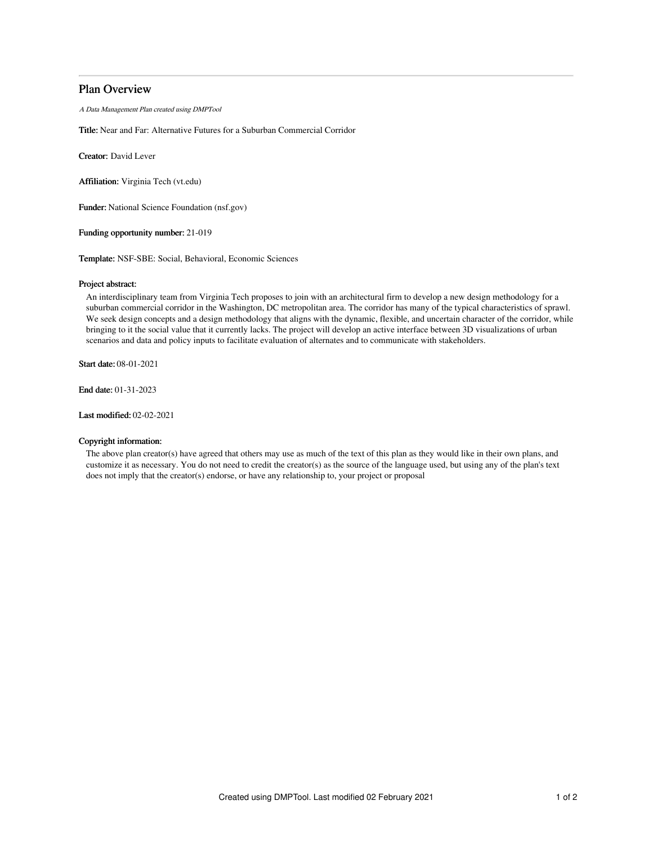# Plan Overview

A Data Management Plan created using DMPTool

Title: Near and Far: Alternative Futures for a Suburban Commercial Corridor

Creator: David Lever

Affiliation: Virginia Tech (vt.edu)

Funder: National Science Foundation (nsf.gov)

Funding opportunity number: 21-019

Template: NSF-SBE: Social, Behavioral, Economic Sciences

## Project abstract:

An interdisciplinary team from Virginia Tech proposes to join with an architectural firm to develop a new design methodology for a suburban commercial corridor in the Washington, DC metropolitan area. The corridor has many of the typical characteristics of sprawl. We seek design concepts and a design methodology that aligns with the dynamic, flexible, and uncertain character of the corridor, while bringing to it the social value that it currently lacks. The project will develop an active interface between 3D visualizations of urban scenarios and data and policy inputs to facilitate evaluation of alternates and to communicate with stakeholders.

Start date: 08-01-2021

End date: 01-31-2023

Last modified: 02-02-2021

# Copyright information:

The above plan creator(s) have agreed that others may use as much of the text of this plan as they would like in their own plans, and customize it as necessary. You do not need to credit the creator(s) as the source of the language used, but using any of the plan's text does not imply that the creator(s) endorse, or have any relationship to, your project or proposal